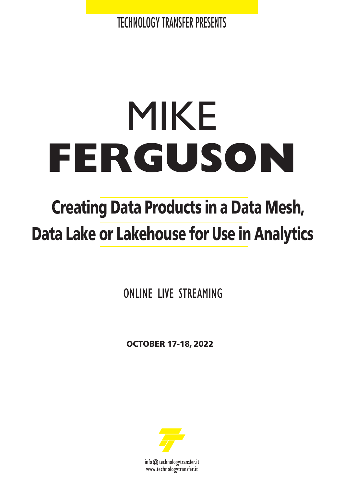TECHNOLOGY TRANSFER PRESENTS

# MIKE **FERGUSON**

## **Creating Data Products in a Data Mesh, Data Lake or Lakehouse for Use in Analytics**

ONLINE LIVE STREAMING

**OCTOBER 17-18, 2022**



info@technologytransfer.it www.technologytransfer.it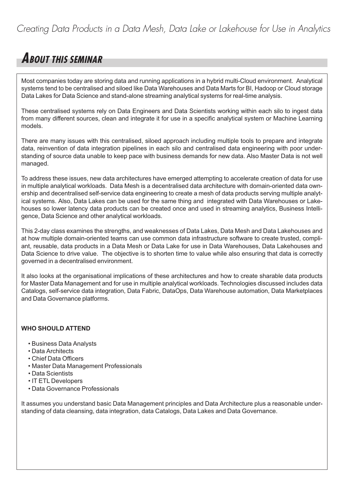### *Creating Data Products in a Data Mesh, Data Lake or Lakehouse for Use in Analytics*

## **ABOUT THIS SEMINAR**

Most companies today are storing data and running applications in a hybrid multi-Cloud environment. Analytical systems tend to be centralised and siloed like Data Warehouses and Data Marts for BI, Hadoop or Cloud storage Data Lakes for Data Science and stand-alone streaming analytical systems for real-time analysis.

These centralised systems rely on Data Engineers and Data Scientists working within each silo to ingest data from many different sources, clean and integrate it for use in a specific analytical system or Machine Learning models.

There are many issues with this centralised, siloed approach including multiple tools to prepare and integrate data, reinvention of data integration pipelines in each silo and centralised data engineering with poor understanding of source data unable to keep pace with business demands for new data. Also Master Data is not well managed.

To address these issues, new data architectures have emerged attempting to accelerate creation of data for use in multiple analytical workloads. Data Mesh is a decentralised data architecture with domain-oriented data ownership and decentralised self-service data engineering to create a mesh of data products serving multiple analytical systems. Also, Data Lakes can be used for the same thing and integrated with Data Warehouses or Lakehouses so lower latency data products can be created once and used in streaming analytics, Business Intelligence, Data Science and other analytical workloads.

This 2-day class examines the strengths, and weaknesses of Data Lakes, Data Mesh and Data Lakehouses and at how multiple domain-oriented teams can use common data infrastructure software to create trusted, compliant, reusable, data products in a Data Mesh or Data Lake for use in Data Warehouses, Data Lakehouses and Data Science to drive value. The objective is to shorten time to value while also ensuring that data is correctly governed in a decentralised environment.

It also looks at the organisational implications of these architectures and how to create sharable data products for Master Data Management and for use in multiple analytical workloads. Technologies discussed includes data Catalogs, self-service data integration, Data Fabric, DataOps, Data Warehouse automation, Data Marketplaces and Data Governance platforms.

#### **WHO SHOULD ATTEND**

- Business Data Analysts
- Data Architects
- Chief Data Officers
- Master Data Management Professionals
- Data Scientists
- IT ETL Developers
- Data Governance Professionals

It assumes you understand basic Data Management principles and Data Architecture plus a reasonable understanding of data cleansing, data integration, data Catalogs, Data Lakes and Data Governance.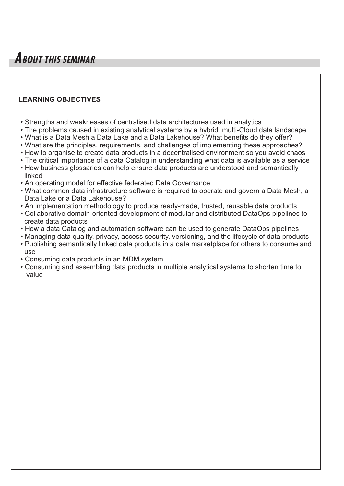## **ABOUT THIS SEMINAR**

#### **LEARNING OBJECTIVES**

- Strengths and weaknesses of centralised data architectures used in analytics
- The problems caused in existing analytical systems by a hybrid, multi-Cloud data landscape
- What is a Data Mesh a Data Lake and a Data Lakehouse? What benefits do they offer?
- What are the principles, requirements, and challenges of implementing these approaches?
- How to organise to create data products in a decentralised environment so you avoid chaos
- The critical importance of a data Catalog in understanding what data is available as a service
- How business glossaries can help ensure data products are understood and semantically linked
- An operating model for effective federated Data Governance
- What common data infrastructure software is required to operate and govern a Data Mesh, a Data Lake or a Data Lakehouse?
- An implementation methodology to produce ready-made, trusted, reusable data products
- Collaborative domain-oriented development of modular and distributed DataOps pipelines to create data products
- How a data Catalog and automation software can be used to generate DataOps pipelines
- Managing data quality, privacy, access security, versioning, and the lifecycle of data products
- Publishing semantically linked data products in a data marketplace for others to consume and use
- Consuming data products in an MDM system
- Consuming and assembling data products in multiple analytical systems to shorten time to value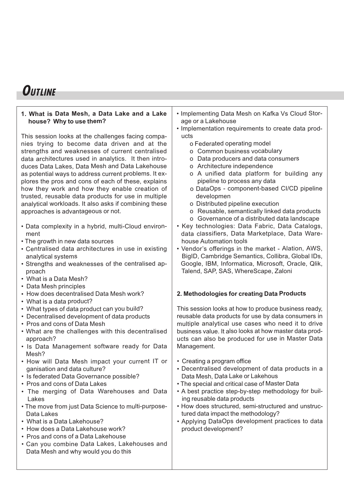## **OUTLINE**

#### **1. What is Data Mesh, <sup>a</sup> Data Lake and <sup>a</sup> Lake house? Why to use them?**

This session looks at the challenges facing companies trying to become data driven and at the strengths and weaknesses of current centralised data architectures used in analytics. It then introduces Data Lakes, Data Mesh and Data Lakehouse as potential ways to address current problems. It explores the pros and cons of each of these, explains how they work and how they enable creation of trusted, reusable data products for use in multiple analytical workloads. It also asks if combining these approaches is advantageous or not.

- Data complexity in <sup>a</sup> hybrid, multi-Cloud environment
- The growth in new data sources
- Centralised data architectures in use in existing analytical systems
- Strengths and weaknesses of the centralised approach
- What is a Data Mesh?
- Data Mesh principles
- How does decentralised Data Mesh work?
- What is <sup>a</sup> data product?
- What types of data product can you build?
- Decentralised development of data products
- Pros and cons of Data Mesh
- What are the challenges with this decentralised approach?
- Is Data Management software ready for Data Mesh?
- How will Data Mesh impact your current IT or ganisation and data culture?
- Is federated Data Governance possible?
- Pros and cons of Data Lakes
- The merging of Data Warehouses and Data Lakes
- The move from just Data Science to multi-purpose-Data Lakes
- What is a Data Lakehouse?
- How does a Data Lakehouse work?
- Pros and cons of a Data Lakehouse
- Can you combine Data Lakes, Lakehouses and Data Mesh and why would you do this
- Implementing Data Mesh on Kafka Vs Cloud Storage or <sup>a</sup> Lakehouse
- Implementation requirements to create data products
	- <sup>o</sup> Federated operating model
	- <sup>o</sup> Common business vocabulary
	- <sup>o</sup> Data producers and data consumers
	- <sup>o</sup> Architecture independence
	- <sup>o</sup> A unified data platform for building any pipeline to process any data
	- <sup>o</sup> DataOps component-based CI/CD pipeline developmen
	- <sup>o</sup> Distributed pipeline execution
	- <sup>o</sup> Reusable, semantically linked data products
	- <sup>o</sup> Governance of <sup>a</sup> distributed data landscape
- Key technologies: Data Fabric, Data Catalogs, data classifiers, Data Marketplace, Data Warehouse Automation tools
- Vendor's offerings in the market Alation, AWS, BigID, Cambridge Semantics, Collibra, Global IDs, Google, IBM, Informatica, Microsoft, Oracle, Qlik, Talend, SAP, SAS, WhereScape, Zaloni

#### **2. Methodologies for creating Data Products**

This session looks at how to produce business ready, reusable data products for use by data consumers in multiple analytical use cases who need it to drive business value. It also looks at how master data products can also be produced for use in Master Data Management.

- Creating <sup>a</sup> program office
- Decentralised development of data products in <sup>a</sup> Data Mesh, Data Lake or Lakehous
- The special and critical case of Master Data
- A best practice step-by-step methodology for builing reusable data products
- How does structured, semi-structured and unstructured data impact the methodology?
- Applying DataOps development practices to data product development?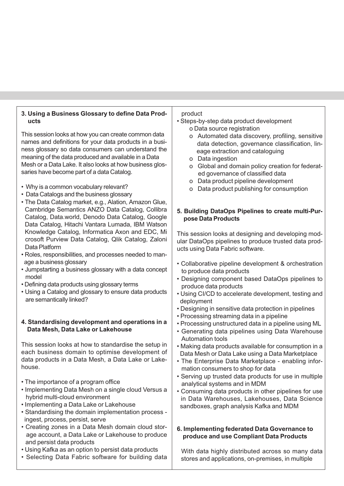#### **ucts** This session looks at how you can create common data names and definitions for your data products in a business glossary so data consumers can understand the meaning of the data produced and available in a Data Mesh or a Data Lake. It also looks at how business glossaries have become part of a data Catalog. • Why is a common vocabulary relevant? • Data Catalogs and the business glossary • The Data Catalog market, e.g., Alation, Amazon Glue, Cambridge Semantics ANZO Data Catalog, Collibra Catalog, Data.world, Denodo Data Catalog, Google Data Catalog, Hitachi Vantara Lumada, IBM Watson Knowledge Catalog, Informatica Axon and EDC, Mi crosoft Purview Data Catalog, Qlik Catalog, Zaloni Data Platform • Roles, responsibilities, and processes needed to manage a business glossary • Jumpstarting a business glossary with a data concept model • Defining data products using glossary terms • Using a Catalog and glossary to ensure data products are semantically linked? **4. Standardising development and operations in a Data Mesh, Data Lake or Lakehouse** o Data source registration o Data ingestion **pose Data Products** to produce data products produce data products deployment

This session looks at how to standardise the setup in each business domain to optimise development of data products in a Data Mesh, a Data Lake or Lakehouse.

**3. Using a Business Glossary to define Data Prod-**

- The importance of a program office
- Implementing Data Mesh on a single cloud Versus a hybrid multi-cloud environment
- Implementing a Data Lake or Lakehouse
- Standardising the domain implementation process ingest, process, persist, serve
- Creating zones in a Data Mesh domain cloud storage account, a Data Lake or Lakehouse to produce and persist data products
- Using Kafka as an option to persist data products
- Selecting Data Fabric software for building data

#### product

- Steps-by-step data product development
	- o Automated data discovery, profiling, sensitive data detection, governance classification, lineage extraction and cataloguing
	- o Global and domain policy creation for federated governance of classified data
	- o Data product pipeline development
	- o Data product publishing for consumption

## **5. Building DataOps Pipelines to create multi-Pur-**

This session looks at designing and developing modular DataOps pipelines to produce trusted data products using Data Fabric software.

- Collaborative pipeline development & orchestration
- Designing component based DataOps pipelines to
- Using CI/CD to accelerate development, testing and
- Designing in sensitive data protection in pipelines
- Processing streaming data in a pipeline
- Processing unstructured data in a pipeline using ML
- Generating data pipelines using Data Warehouse Automation tools
- Making data products available for consumption in a Data Mesh or Data Lake using a Data Marketplace
- The Enterprise Data Marketplace enabling information consumers to shop for data
- Serving up trusted data products for use in multiple analytical systems and in MDM
- Consuming data products in other pipelines for use in Data Warehouses, Lakehouses, Data Science sandboxes, graph analysis Kafka and MDM

#### **6. Implementing federated Data Governance to produce and use Compliant Data Products**

With data highly distributed across so many data stores and applications, on-premises, in multiple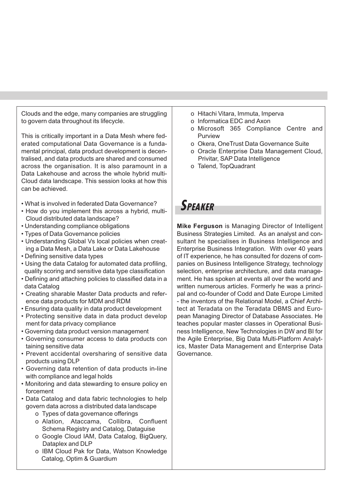Clouds and the edge, many companies are struggling to govern data throughout its lifecycle.

This is critically important in a Data Mesh where federated computational Data Governance is a fundamental principal, data product development is decentralised, and data products are shared and consumed across the organisation. It is also paramount in a Data Lakehouse and across the whole hybrid multi-Cloud data landscape. This session looks at how this can be achieved.

- What is involved in federated Data Governance?
- How do you implement this across a hybrid, multi-Cloud distributed data landscape?
- Understanding compliance obligations
- Types of Data Governance policies
- Understanding Global Vs local policies when creating a Data Mesh, a Data Lake or Data Lakehouse
- Defining sensitive data types
- Using the data Catalog for automated data profiling, quality scoring and sensitive data type classification
- Defining and attaching policies to classified data in a data Catalog
- Creating sharable Master Data products and reference data products for MDM and RDM
- Ensuring data quality in data product development
- Protecting sensitive data in data product develop ment for data privacy compliance
- Governing data product version management
- Governing consumer access to data products con taining sensitive data
- Prevent accidental oversharing of sensitive data products using DLP
- Governing data retention of data products in-line with compliance and legal holds
- Monitoring and data stewarding to ensure policy en forcement
- Data Catalog and data fabric technologies to help govern data across a distributed data landscape
	- o Types of data governance offerings
	- o Alation, Ataccama, Collibra, Confluent Schema Registry and Catalog, Dataguise
	- o Google Cloud IAM, Data Catalog, BigQuery, Dataplex and DLP
	- o IBM Cloud Pak for Data, Watson Knowledge Catalog, Optim & Guardium
- o Hitachi Vitara, Immuta, Imperva
- o Informatica EDC and Axon
- o Microsoft 365 Compliance Centre and Purview
- o Okera, OneTrust Data Governance Suite
- o Oracle Enterprise Data Management Cloud, Privitar, SAP Data Intelligence
- o Talend, TopQuadrant

## **SPEAKER**

**Mike Ferguson** is Managing Director of Intelligent Business Strategies Limited. As an analyst and consultant he specialises in Business Intelligence and Enterprise Business Integration. With over 40 years of IT experience, he has consulted for dozens of companies on Business Intelligence Strategy, technology selection, enterprise architecture, and data management. He has spoken at events all over the world and written numerous articles. Formerly he was a principal and co-founder of Codd and Date Europe Limited - the inventors of the Relational Model, a Chief Architect at Teradata on the Teradata DBMS and European Managing Director of Database Associates. He teaches popular master classes in Operational Business Intelligence, New Technologies in DW and BI for the Agile Enterprise, Big Data Multi-Platform Analytics, Master Data Management and Enterprise Data Governance.